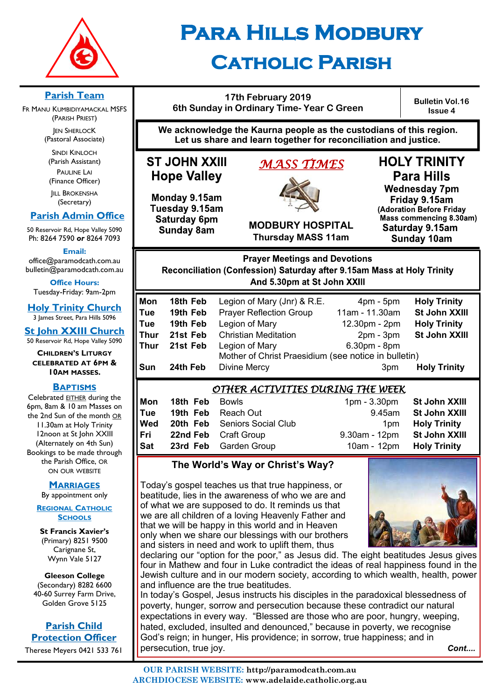

# **Para Hills Modbury Catholic Parish**

### **17th February 2019 6th Sunday in Ordinary Time- Year C Green**

**Bulletin Vol.16 Issue 4**

**We acknowledge the Kaurna people as the custodians of this region. Let us share and learn together for reconciliation and justice.**

# **ST JOHN XXIII Hope Valley**

Monday 9.15am Tuesday 9.15am Saturday 6pm **Sunday 8am** 

# *MASS TIMES*



**HOLY TRINITY Para Hills Wednesday 7pm** 

Friday 9.15am (Adoration Before Friday Mass commencing 8.30am) Saturday 9.15am **Sunday 10am** 

**MODBURY HOSPITAL Thursday MASS 11am**

#### **Prayer Meetings and Devotions** Reconciliation (Confession) Saturday after 9.15am Mass at Holy Trinity And 5.30pm at St John XXIII

| Mon  | 18th Feb | Legion of Mary (Jnr) & R.E.                          | $4pm - 5pm$     | <b>Holy Trinity</b> |
|------|----------|------------------------------------------------------|-----------------|---------------------|
| Tue  | 19th Feb | <b>Prayer Reflection Group</b>                       | 11am - 11.30am  | St John XXIII       |
| Tue  | 19th Feb | Legion of Mary                                       | 12.30pm - 2pm   | <b>Holy Trinity</b> |
| Thur | 21st Feb | <b>Christian Meditation</b>                          | $2pm - 3pm$     | St John XXIII       |
| Thur | 21st Feb | Legion of Mary                                       | 6.30pm - 8pm    |                     |
|      |          | Mother of Christ Praesidium (see notice in bulletin) |                 |                     |
| Sun  | 24th Feb | <b>Divine Mercy</b>                                  | 3 <sub>pm</sub> | <b>Holy Trinity</b> |
|      |          |                                                      |                 |                     |

### *OTHER ACTIVITIES DURING THE WEEK*

| Mon        | 18th Feb | Bowls                               | $1pm - 3.30pm$   | <b>St John XXIII</b> |  |
|------------|----------|-------------------------------------|------------------|----------------------|--|
| Tue        |          | <b>19th Feb</b> Reach Out           | 9.45am           | <b>St John XXIII</b> |  |
| Wed        |          | <b>20th Feb</b> Seniors Social Club | 1 <sub>pm</sub>  | <b>Holy Trinity</b>  |  |
| Fri        |          | <b>22nd Feb</b> Craft Group         | $9.30$ am - 12pm | St John XXIII        |  |
| <b>Sat</b> |          | 23rd Feb Garden Group               | 10am - 12pm      | <b>Holy Trinity</b>  |  |
|            |          |                                     |                  |                      |  |

### **The World's Way or Christ's Way?**

Today's gospel teaches us that true happiness, or beatitude, lies in the awareness of who we are and of what we are supposed to do. It reminds us that we are all children of a loving Heavenly Father and that we will be happy in this world and in Heaven only when we share our blessings with our brothers and sisters in need and work to uplift them, thus



declaring our "option for the poor," as Jesus did. The eight beatitudes Jesus gives four in Mathew and four in Luke contradict the ideas of real happiness found in the Jewish culture and in our modern society, according to which wealth, health, power and influence are the true beatitudes.

In today's Gospel, Jesus instructs his disciples in the paradoxical blessedness of poverty, hunger, sorrow and persecution because these contradict our natural expectations in every way. "Blessed are those who are poor, hungry, weeping, hated, excluded, insulted and denounced," because in poverty, we recognise God's reign; in hunger, His providence; in sorrow, true happiness; and in persecution, true joy. *Cont....*

**OUR PARISH WEBSITE: http://paramodcath.com.au**

### **ARCHDIOCESE WEBSITE: www.adelaide.catholic.org.au**

**Parish Team** 

FR MANU KUMBIDIYAMACKAL MSFS (PARISH PRIEST) **JEN SHERLOCK** (Pastoral Associate)

SINDI KINLOCH (Parish Assistant) PAULINE LAI (Finance Officer)

**IILL BROKENSHA** (Secretary)

### **Parish Admin Office**

50 Reservoir Rd, Hope Valley 5090 Ph: 8264 7590 *or* 8264 7093

**Email:** 

office@paramodcath.com.au bulletin@paramodcath.com.au

**Office Hours:**  Tuesday-Friday: 9am-2pm

**Holy Trinity Church** 3 James Street, Para Hills 5096

**St John XXIII Church** 50 Reservoir Rd, Hope Valley 5090

**CHILDREN'S LITURGY CELEBRATED AT 6PM & 10AM MASSES.**

#### **BAPTISMS**

Celebrated EITHER during the 6pm, 8am & 10 am Masses on the 2nd Sun of the month OR 11.30am at Holy Trinity 12noon at St John XXIII (Alternately on 4th Sun) Bookings to be made through the Parish Office, OR ON OUR WEBSITE

#### **MARRIAGES**

By appointment only

#### **REGIONAL CATHOLIC SCHOOLS**

**St Francis Xavier's**  (Primary) 8251 9500 Carignane St, Wynn Vale 5127

**Gleeson College**  (Secondary) 8282 6600 40-60 Surrey Farm Drive, Golden Grove 5125

**Parish Child Protection Officer** Therese Meyers 0421 533 761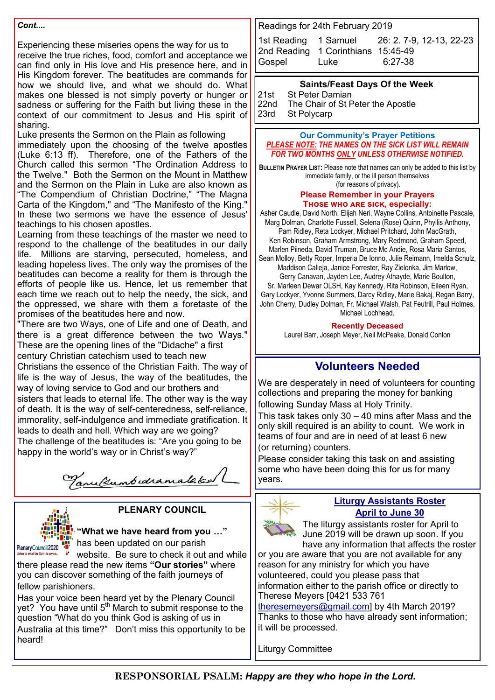#### *Cont....*

Experiencing these miseries opens the way for us to receive the true riches, food, comfort and acceptance we can find only in His love and His presence here, and in His Kingdom forever. The beatitudes are commands for how we should live, and what we should do. What makes one blessed is not simply poverty or hunger or sadness or suffering for the Faith but living these in the context of our commitment to Jesus and His spirit of sharing.

Luke presents the Sermon on the Plain as following immediately upon the choosing of the twelve apostles (Luke 6:13 ff). Therefore, one of the Fathers of the Church called this sermon "The Ordination Address to the Twelve." Both the Sermon on the Mount in Matthew and the Sermon on the Plain in Luke are also known as "The Compendium of Christian Doctrine," "The Magna Carta of the Kingdom," and "The Manifesto of the King." In these two sermons we have the essence of Jesus' teachings to his chosen apostles.

Learning from these teachings of the master we need to respond to the challenge of the beatitudes in our daily life. Millions are starving, persecuted, homeless, and leading hopeless lives. The only way the promises of the beatitudes can become a reality for them is through the efforts of people like us. Hence, let us remember that each time we reach out to help the needy, the sick, and the oppressed, we share with them a foretaste of the promises of the beatitudes here and now.

"There are two Ways, one of Life and one of Death, and there is a great difference between the two Ways." These are the opening lines of the "Didache" a first century Christian catechism used to teach new Christians the essence of the Christian Faith. The way of

life is the way of Jesus, the way of the beatitudes, the way of loving service to God and our brothers and sisters that leads to eternal life. The other way is the way of death. It is the way of self-centeredness, self-reliance, immorality, self-indulgence and immediate gratification. It leads to death and hell. Which way are we going? The challenge of the beatitudes is: "Are you going to be happy in the world's way or in Christ's way?"

Tanulumbedramalaked



### **PLENARY COUNCIL**

### **"What we have heard from you …"**

 $\mathbf{F}$  has been updated on our parish

website. Be sure to check it out and while there please read the new items **"Our stories"** where you can discover something of the faith journeys of fellow parishioners.

Has your voice been heard yet by the Plenary Council yet? You have until 5<sup>th</sup> March to submit response to the question "What do you think God is asking of us in Australia at this time?" Don't miss this opportunity to be heard!

Readings for 24th February 2019

|             |                                    | 1st Reading 1 Samuel 26: 2. 7-9, 12-13, 22-23 |
|-------------|------------------------------------|-----------------------------------------------|
|             | 2nd Reading 1 Corinthians 15:45-49 |                                               |
| Gospel Luke |                                    | 6:27-38                                       |

#### **Saints/Feast Days Of the Week**

21st St Peter Damian<br>22nd The Chair of St P 22nd The Chair of St Peter the Apostle<br>23rd St Polycarp St Polycarp

#### **Our Community's Prayer Petitions**  *PLEASE NOTE: THE NAMES ON THE SICK LIST WILL REMAIN FOR TWO MONTHS ONLY UNLESS OTHERWISE NOTIFIED.*

**BULLETIN PRAYER LIST:** Please note that names can only be added to this list by immediate family, or the ill person themselves (for reasons of privacy).

#### **Please Remember in your Prayers Those who are sick, especially:**

Asher Caudle, David North, Elijah Neri, Wayne Collins, Antoinette Pascale, Marg Dolman, Charlotte Fussell, Selena (Rose) Quinn, Phyllis Anthony, Pam Ridley, Reta Lockyer, Michael Pritchard, John MacGrath, Ken Robinson, Graham Armstrong, Mary Redmond, Graham Speed, Marlen Piineda, David Truman, Bruce Mc Andie, Rosa Maria Santos,

Sean Molloy, Betty Roper, Imperia De Ionno, Julie Reimann, Imelda Schulz, Maddison Calleja, Janice Forrester, Ray Zielonka, Jim Marlow, Gerry Canavan, Jayden Lee, Audrey Athayde, Marie Boulton,

Sr. Marleen Dewar OLSH, Kay Kennedy, Rita Robinson, Eileen Ryan, Gary Lockyer, Yvonne Summers, Darcy Ridley, Marie Bakaj, Regan Barry, John Cherry, Dudley Dolman, Fr. Michael Walsh, Pat Feutrill, Paul Holmes, Michael Lochhead.

#### **Recently Deceased**

Laurel Barr, Joseph Meyer, Neil McPeake, Donald Conlon

### **Volunteers Needed**

We are desperately in need of volunteers for counting collections and preparing the money for banking following Sunday Mass at Holy Trinity.

This task takes only  $30 - 40$  mins after Mass and the only skill required is an ability to count. We work in teams of four and are in need of at least 6 new (or returning) counters.

Please consider taking this task on and assisting some who have been doing this for us for many years.



#### **Liturgy Assistants Roster April to June 30**

The liturgy assistants roster for April to June 2019 will be drawn up soon. If you have any information that affects the roster

or you are aware that you are not available for any reason for any ministry for which you have volunteered, could you please pass that information either to the parish office or directly to Therese Meyers [0421 533 761

[theresemeyers@gmail.com\]](mailto:theresemeyers@gmail.com) by 4th March 2019? Thanks to those who have already sent information; it will be processed.

Liturgy Committee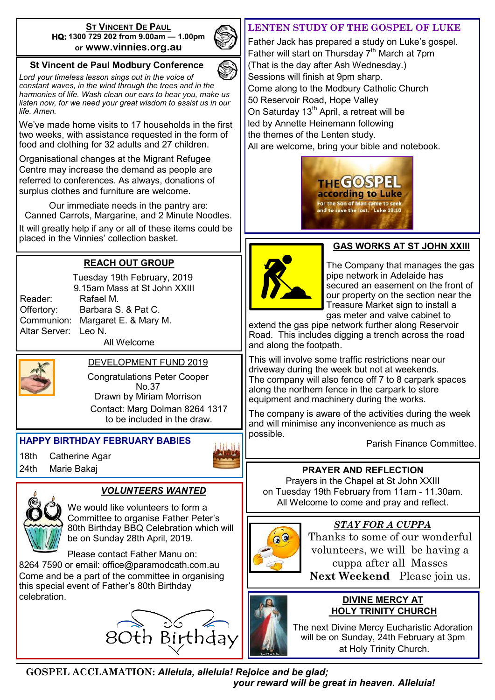#### **ST VINCENT DE PAUL HQ: 1300 729 202 from 9.00am — 1.00pm or www.vinnies.org.au**



### **St Vincent de Paul Modbury Conference**

*Lord your timeless lesson sings out in the voice of constant waves, in the wind through the trees and in the harmonies of life. Wash clean our ears to hear you, make us listen now, for we need your great wisdom to assist us in our life. Amen.*

We've made home visits to 17 households in the first two weeks, with assistance requested in the form of food and clothing for 32 adults and 27 children.

Organisational changes at the Migrant Refugee Centre may increase the demand as people are referred to conferences. As always, donations of surplus clothes and furniture are welcome.

Our immediate needs in the pantry are: Canned Carrots, Margarine, and 2 Minute Noodles. It will greatly help if any or all of these items could be placed in the Vinnies' collection basket.

### **REACH OUT GROUP**

Reader: Rafael M. Altar Server: Leo N.

 Tuesday 19th February, 2019 9.15am Mass at St John XXIII Offertory: Barbara S. & Pat C. Communion: Margaret E. & Mary M.

All Welcome



DEVELOPMENT FUND 2019

Congratulations Peter Cooper No.37 Drawn by Miriam Morrison Contact: Marg Dolman 8264 1317 to be included in the draw.

### **HAPPY BIRTHDAY FEBRUARY BABIES**

18th Catherine Agar



### *VOLUNTEERS WANTED*

We would like volunteers to form a Committee to organise Father Peter's 80th Birthday BBQ Celebration which will be on Sunday 28th April, 2019.

Please contact Father Manu on:

8264 7590 or email: office@paramodcath.com.au Come and be a part of the committee in organising this special event of Father's 80th Birthday celebration.



### **LENTEN STUDY OF THE GOSPEL OF LUKE**

Father Jack has prepared a study on Luke's gospel. Father will start on Thursday 7<sup>th</sup> March at 7pm (That is the day after Ash Wednesday.) Sessions will finish at 9pm sharp. Come along to the Modbury Catholic Church 50 Reservoir Road, Hope Valley On Saturday 13<sup>th</sup> April, a retreat will be led by Annette Heinemann following the themes of the Lenten study. All are welcome, bring your bible and notebook.





### **GAS WORKS AT ST JOHN XXIII**

The Company that manages the gas pipe network in Adelaide has secured an easement on the front of our property on the section near the Treasure Market sign to install a gas meter and valve cabinet to

extend the gas pipe network further along Reservoir Road. This includes digging a trench across the road and along the footpath.

This will involve some traffic restrictions near our driveway during the week but not at weekends. The company will also fence off 7 to 8 carpark spaces along the northern fence in the carpark to store equipment and machinery during the works.

The company is aware of the activities during the week and will minimise any inconvenience as much as possible.

Parish Finance Committee.

### 24th Marie Bakaj **PRAYER AND REFLECTION**

Prayers in the Chapel at St John XXIII on Tuesday 19th February from 11am - 11.30am. All Welcome to come and pray and reflect.



### *STAY FOR A CUPPA*

Thanks to some of our wonderful volunteers, we will be having a cuppa after all Masses **Next Weekend** Please join us.

### **DIVINE MERCY AT HOLY TRINITY CHURCH**

The next Divine Mercy Eucharistic Adoration will be on Sunday, 24th February at 3pm at Holy Trinity Church.

**GOSPEL ACCLAMATION:** *Alleluia, alleluia! Rejoice and be glad; your reward will be great in heaven. Alleluia!*